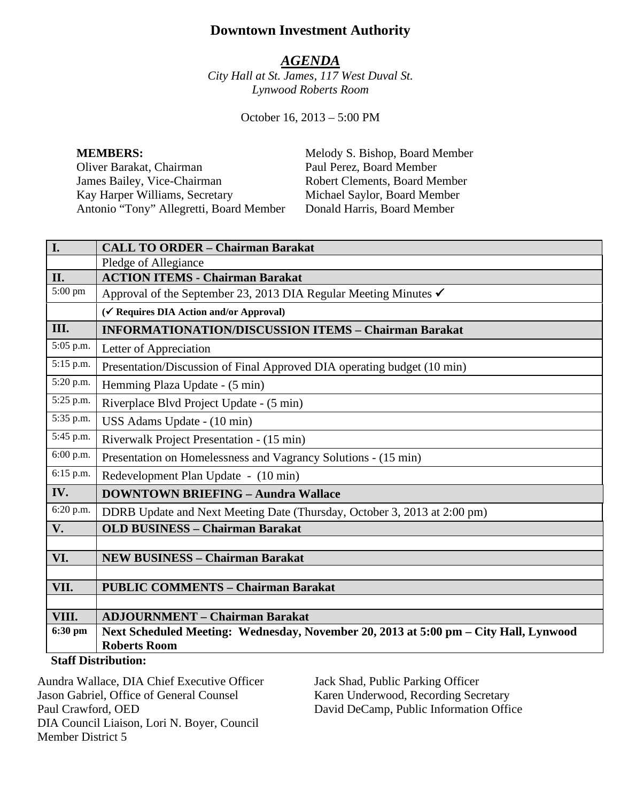# **Downtown Investment Authority**

## *AGENDA*

*City Hall at St. James, 117 West Duval St. Lynwood Roberts Room*

October 16, 2013 – 5:00 PM

**MEMBERS:**<br>
Oliver Barakat, Chairman<br>
Paul Perez, Board Member<br>
Paul Perez, Board Member Oliver Barakat, Chairman<br>James Bailey, Vice-Chairman Kay Harper Williams, Secretary Michael Saylor, Board Member<br>Antonio "Tony" Allegretti, Board Member Donald Harris, Board Member Antonio "Tony" Allegretti, Board Member

Robert Clements, Board Member<br>Michael Saylor, Board Member

| I.                         | <b>CALL TO ORDER - Chairman Barakat</b>                                                                     |
|----------------------------|-------------------------------------------------------------------------------------------------------------|
|                            | Pledge of Allegiance                                                                                        |
| II.                        | <b>ACTION ITEMS - Chairman Barakat</b>                                                                      |
| 5:00 pm                    | Approval of the September 23, 2013 DIA Regular Meeting Minutes √                                            |
|                            | (√ Requires DIA Action and/or Approval)                                                                     |
| III.                       | <b>INFORMATIONATION/DISCUSSION ITEMS - Chairman Barakat</b>                                                 |
| 5:05 p.m.                  | Letter of Appreciation                                                                                      |
| 5:15 p.m.                  | Presentation/Discussion of Final Approved DIA operating budget (10 min)                                     |
| 5:20 p.m.                  | Hemming Plaza Update - (5 min)                                                                              |
| 5:25 p.m.                  | Riverplace Blvd Project Update - (5 min)                                                                    |
| 5:35 p.m.                  | USS Adams Update - (10 min)                                                                                 |
| 5:45 p.m.                  | Riverwalk Project Presentation - (15 min)                                                                   |
| 6:00 p.m.                  | Presentation on Homelessness and Vagrancy Solutions - (15 min)                                              |
| 6:15 p.m.                  | Redevelopment Plan Update - (10 min)                                                                        |
| IV.                        | <b>DOWNTOWN BRIEFING - Aundra Wallace</b>                                                                   |
| 6:20 p.m.                  | DDRB Update and Next Meeting Date (Thursday, October 3, 2013 at 2:00 pm)                                    |
| V.                         | <b>OLD BUSINESS - Chairman Barakat</b>                                                                      |
|                            |                                                                                                             |
| VI.                        | <b>NEW BUSINESS - Chairman Barakat</b>                                                                      |
|                            |                                                                                                             |
| VII.                       | <b>PUBLIC COMMENTS - Chairman Barakat</b>                                                                   |
|                            |                                                                                                             |
| VIII.                      | <b>ADJOURNMENT - Chairman Barakat</b>                                                                       |
| 6:30 pm                    | Next Scheduled Meeting: Wednesday, November 20, 2013 at 5:00 pm - City Hall, Lynwood<br><b>Roberts Room</b> |
|                            |                                                                                                             |
| <b>Staff Distribution:</b> |                                                                                                             |

Aundra Wallace, DIA Chief Executive Officer Jason Gabriel, Office of General Counsel Paul Crawford, OED DIA Council Liaison, Lori N. Boyer, Council Member District 5

Jack Shad, Public Parking Officer Karen Underwood, Recording Secretary David DeCamp, Public Information Office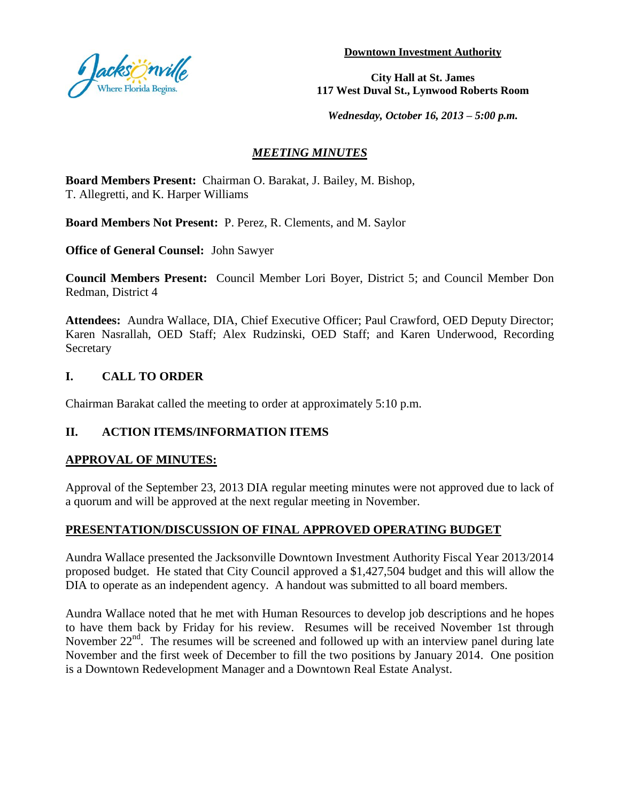

**Downtown Investment Authority**

**City Hall at St. James 117 West Duval St., Lynwood Roberts Room**

*Wednesday, October 16, 2013 – 5:00 p.m.*

# *MEETING MINUTES*

**Board Members Present:** Chairman O. Barakat, J. Bailey, M. Bishop, T. Allegretti, and K. Harper Williams

**Board Members Not Present:** P. Perez, R. Clements, and M. Saylor

**Office of General Counsel:** John Sawyer

**Council Members Present:** Council Member Lori Boyer, District 5; and Council Member Don Redman, District 4

**Attendees:** Aundra Wallace, DIA, Chief Executive Officer; Paul Crawford, OED Deputy Director; Karen Nasrallah, OED Staff; Alex Rudzinski, OED Staff; and Karen Underwood, Recording **Secretary** 

## **I. CALL TO ORDER**

Chairman Barakat called the meeting to order at approximately 5:10 p.m.

## **II. ACTION ITEMS/INFORMATION ITEMS**

## **APPROVAL OF MINUTES:**

Approval of the September 23, 2013 DIA regular meeting minutes were not approved due to lack of a quorum and will be approved at the next regular meeting in November.

## **PRESENTATION/DISCUSSION OF FINAL APPROVED OPERATING BUDGET**

Aundra Wallace presented the Jacksonville Downtown Investment Authority Fiscal Year 2013/2014 proposed budget. He stated that City Council approved a \$1,427,504 budget and this will allow the DIA to operate as an independent agency. A handout was submitted to all board members.

Aundra Wallace noted that he met with Human Resources to develop job descriptions and he hopes to have them back by Friday for his review. Resumes will be received November 1st through November  $22<sup>nd</sup>$ . The resumes will be screened and followed up with an interview panel during late November and the first week of December to fill the two positions by January 2014. One position is a Downtown Redevelopment Manager and a Downtown Real Estate Analyst.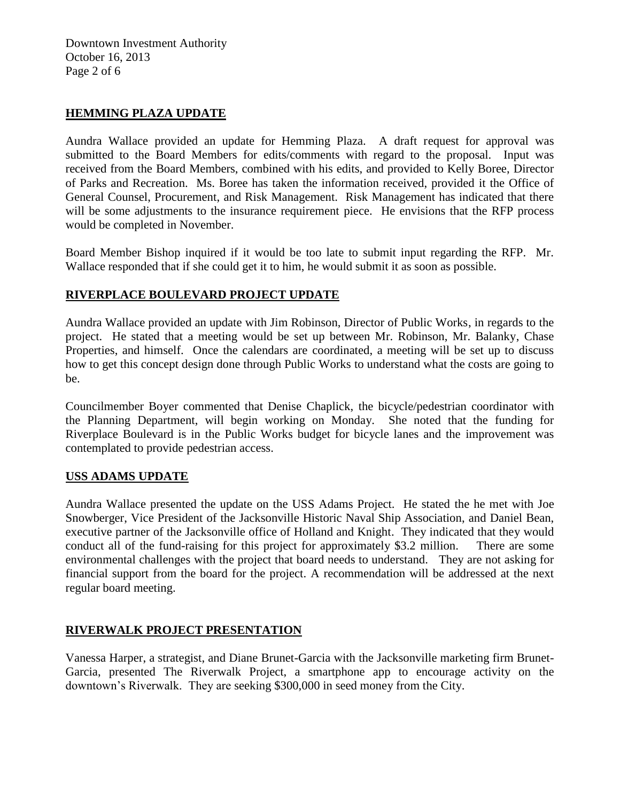Downtown Investment Authority October 16, 2013 Page 2 of 6

### **HEMMING PLAZA UPDATE**

Aundra Wallace provided an update for Hemming Plaza. A draft request for approval was submitted to the Board Members for edits/comments with regard to the proposal. Input was received from the Board Members, combined with his edits, and provided to Kelly Boree, Director of Parks and Recreation. Ms. Boree has taken the information received, provided it the Office of General Counsel, Procurement, and Risk Management. Risk Management has indicated that there will be some adjustments to the insurance requirement piece. He envisions that the RFP process would be completed in November.

Board Member Bishop inquired if it would be too late to submit input regarding the RFP. Mr. Wallace responded that if she could get it to him, he would submit it as soon as possible.

## **RIVERPLACE BOULEVARD PROJECT UPDATE**

Aundra Wallace provided an update with Jim Robinson, Director of Public Works, in regards to the project. He stated that a meeting would be set up between Mr. Robinson, Mr. Balanky, Chase Properties, and himself. Once the calendars are coordinated, a meeting will be set up to discuss how to get this concept design done through Public Works to understand what the costs are going to be.

Councilmember Boyer commented that Denise Chaplick, the bicycle/pedestrian coordinator with the Planning Department, will begin working on Monday. She noted that the funding for Riverplace Boulevard is in the Public Works budget for bicycle lanes and the improvement was contemplated to provide pedestrian access.

#### **USS ADAMS UPDATE**

Aundra Wallace presented the update on the USS Adams Project. He stated the he met with Joe Snowberger, Vice President of the Jacksonville Historic Naval Ship Association, and Daniel Bean, executive partner of the Jacksonville office of Holland and Knight. They indicated that they would conduct all of the fund-raising for this project for approximately \$3.2 million. There are some environmental challenges with the project that board needs to understand. They are not asking for financial support from the board for the project. A recommendation will be addressed at the next regular board meeting.

#### **RIVERWALK PROJECT PRESENTATION**

Vanessa Harper, a strategist, and Diane Brunet-Garcia with the Jacksonville marketing firm Brunet-Garcia, presented The Riverwalk Project, a smartphone app to encourage activity on the downtown's Riverwalk. They are seeking \$300,000 in seed money from the City.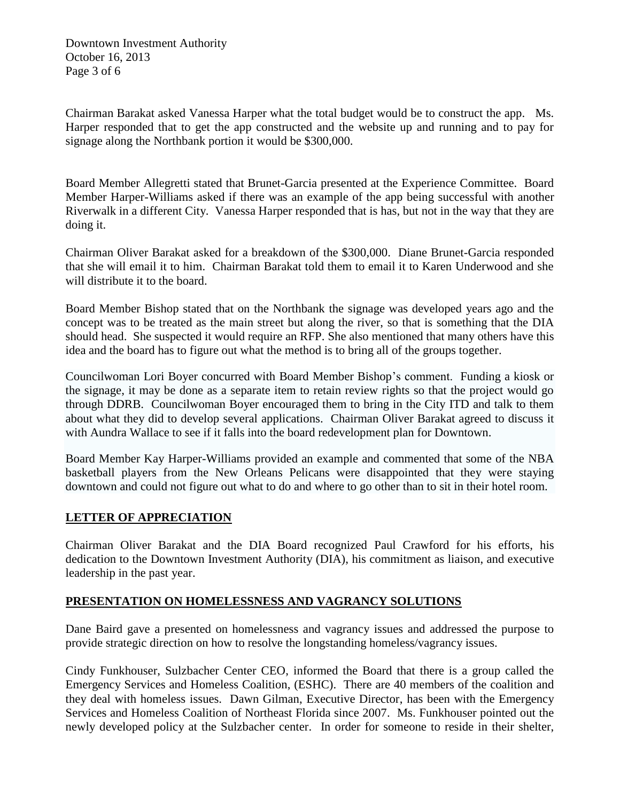Downtown Investment Authority October 16, 2013 Page 3 of 6

Chairman Barakat asked Vanessa Harper what the total budget would be to construct the app. Ms. Harper responded that to get the app constructed and the website up and running and to pay for signage along the Northbank portion it would be \$300,000.

Board Member Allegretti stated that Brunet-Garcia presented at the Experience Committee. Board Member Harper-Williams asked if there was an example of the app being successful with another Riverwalk in a different City. Vanessa Harper responded that is has, but not in the way that they are doing it.

Chairman Oliver Barakat asked for a breakdown of the \$300,000. Diane Brunet-Garcia responded that she will email it to him. Chairman Barakat told them to email it to Karen Underwood and she will distribute it to the board.

Board Member Bishop stated that on the Northbank the signage was developed years ago and the concept was to be treated as the main street but along the river, so that is something that the DIA should head. She suspected it would require an RFP. She also mentioned that many others have this idea and the board has to figure out what the method is to bring all of the groups together.

Councilwoman Lori Boyer concurred with Board Member Bishop's comment. Funding a kiosk or the signage, it may be done as a separate item to retain review rights so that the project would go through DDRB. Councilwoman Boyer encouraged them to bring in the City ITD and talk to them about what they did to develop several applications. Chairman Oliver Barakat agreed to discuss it with Aundra Wallace to see if it falls into the board redevelopment plan for Downtown.

Board Member Kay Harper-Williams provided an example and commented that some of the NBA basketball players from the New Orleans Pelicans were disappointed that they were staying downtown and could not figure out what to do and where to go other than to sit in their hotel room.

## **LETTER OF APPRECIATION**

Chairman Oliver Barakat and the DIA Board recognized Paul Crawford for his efforts, his dedication to the Downtown Investment Authority (DIA), his commitment as liaison, and executive leadership in the past year.

#### **PRESENTATION ON HOMELESSNESS AND VAGRANCY SOLUTIONS**

Dane Baird gave a presented on homelessness and vagrancy issues and addressed the purpose to provide strategic direction on how to resolve the longstanding homeless/vagrancy issues.

Cindy Funkhouser, Sulzbacher Center CEO, informed the Board that there is a group called the Emergency Services and Homeless Coalition, (ESHC). There are 40 members of the coalition and they deal with homeless issues. Dawn Gilman, Executive Director, has been with the Emergency Services and Homeless Coalition of Northeast Florida since 2007. Ms. Funkhouser pointed out the newly developed policy at the Sulzbacher center. In order for someone to reside in their shelter,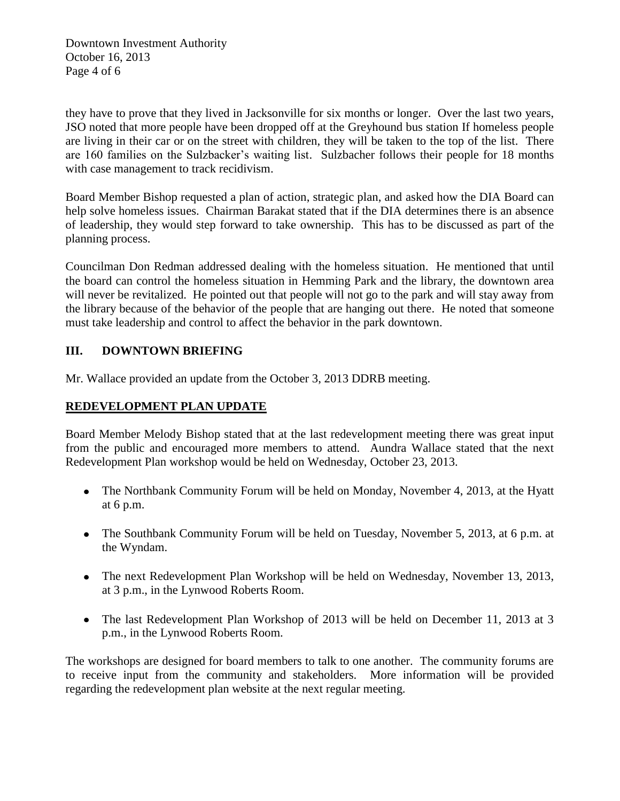Downtown Investment Authority October 16, 2013 Page 4 of 6

they have to prove that they lived in Jacksonville for six months or longer. Over the last two years, JSO noted that more people have been dropped off at the Greyhound bus station If homeless people are living in their car or on the street with children, they will be taken to the top of the list. There are 160 families on the Sulzbacker's waiting list. Sulzbacher follows their people for 18 months with case management to track recidivism.

Board Member Bishop requested a plan of action, strategic plan, and asked how the DIA Board can help solve homeless issues. Chairman Barakat stated that if the DIA determines there is an absence of leadership, they would step forward to take ownership. This has to be discussed as part of the planning process.

Councilman Don Redman addressed dealing with the homeless situation. He mentioned that until the board can control the homeless situation in Hemming Park and the library, the downtown area will never be revitalized. He pointed out that people will not go to the park and will stay away from the library because of the behavior of the people that are hanging out there. He noted that someone must take leadership and control to affect the behavior in the park downtown.

## **III. DOWNTOWN BRIEFING**

Mr. Wallace provided an update from the October 3, 2013 DDRB meeting.

## **REDEVELOPMENT PLAN UPDATE**

Board Member Melody Bishop stated that at the last redevelopment meeting there was great input from the public and encouraged more members to attend. Aundra Wallace stated that the next Redevelopment Plan workshop would be held on Wednesday, October 23, 2013.

- The Northbank Community Forum will be held on Monday, November 4, 2013, at the Hyatt at 6 p.m.
- The Southbank Community Forum will be held on Tuesday, November 5, 2013, at 6 p.m. at the Wyndam.
- The next Redevelopment Plan Workshop will be held on Wednesday, November 13, 2013, at 3 p.m., in the Lynwood Roberts Room.
- The last Redevelopment Plan Workshop of 2013 will be held on December 11, 2013 at 3 p.m., in the Lynwood Roberts Room.

The workshops are designed for board members to talk to one another. The community forums are to receive input from the community and stakeholders. More information will be provided regarding the redevelopment plan website at the next regular meeting.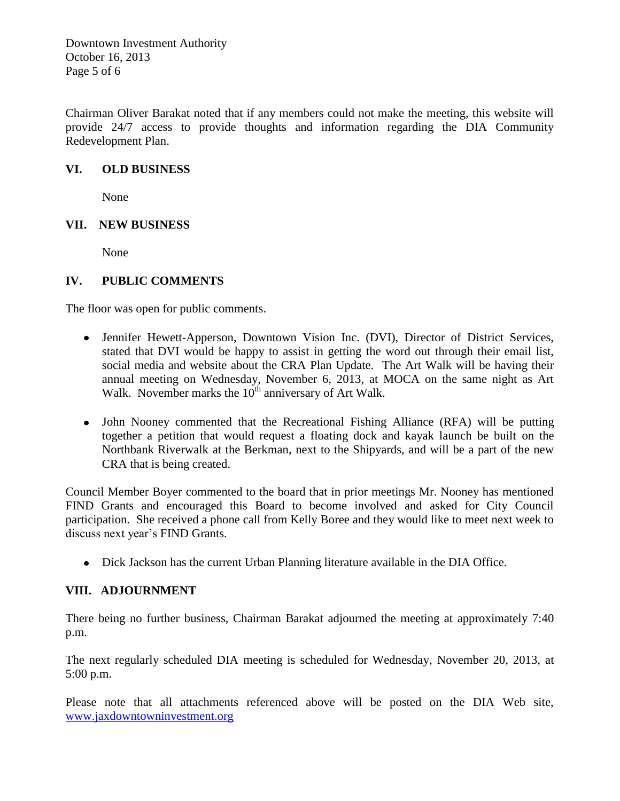Downtown Investment Authority October 16, 2013 Page 5 of 6

Chairman Oliver Barakat noted that if any members could not make the meeting, this website will provide 24/7 access to provide thoughts and information regarding the DIA Community Redevelopment Plan.

## **VI. OLD BUSINESS**

None

## **VII. NEW BUSINESS**

None

## **IV. PUBLIC COMMENTS**

The floor was open for public comments.

- Jennifer Hewett-Apperson, Downtown Vision Inc. (DVI), Director of District Services, stated that DVI would be happy to assist in getting the word out through their email list, social media and website about the CRA Plan Update. The Art Walk will be having their annual meeting on Wednesday, November 6, 2013, at MOCA on the same night as Art Walk. November marks the 10<sup>th</sup> anniversary of Art Walk.
- John Nooney commented that the Recreational Fishing Alliance (RFA) will be putting together a petition that would request a floating dock and kayak launch be built on the Northbank Riverwalk at the Berkman, next to the Shipyards, and will be a part of the new CRA that is being created.

Council Member Boyer commented to the board that in prior meetings Mr. Nooney has mentioned FIND Grants and encouraged this Board to become involved and asked for City Council participation. She received a phone call from Kelly Boree and they would like to meet next week to discuss next year's FIND Grants.

Dick Jackson has the current Urban Planning literature available in the DIA Office.

#### **VIII. ADJOURNMENT**

There being no further business, Chairman Barakat adjourned the meeting at approximately 7:40 p.m.

The next regularly scheduled DIA meeting is scheduled for Wednesday, November 20, 2013, at 5:00 p.m.

Please note that all attachments referenced above will be posted on the DIA Web site, www.jaxdowntowninvestment.org